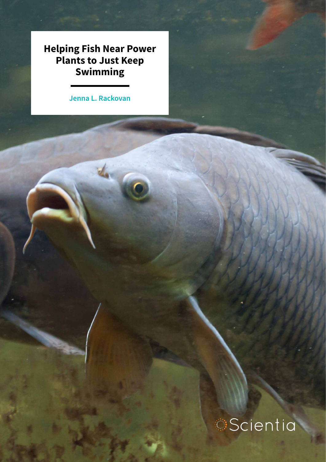**Helping Fish Near Power Plants to Just Keep Swimming**

**Jenna L. Rackovan**

the

# **Scientia**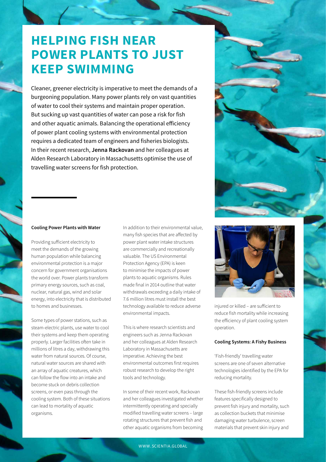# **HELPING FISH NEAR POWER PLANTS TO JUST KEEP SWIMMING**

Cleaner, greener electricity is imperative to meet the demands of a burgeoning population. Many power plants rely on vast quantities of water to cool their systems and maintain proper operation. But sucking up vast quantities of water can pose a risk for fish and other aquatic animals. Balancing the operational efficiency of power plant cooling systems with environmental protection requires a dedicated team of engineers and fisheries biologists. In their recent research, **Jenna Rackovan** and her colleagues at Alden Research Laboratory in Massachusetts optimise the use of travelling water screens for fish protection.

### **Cooling Power Plants with Water**

Providing sufficient electricity to meet the demands of the growing human population while balancing environmental protection is a major concern for government organisations the world over. Power plants transform primary energy sources, such as coal, nuclear, natural gas, wind and solar energy, into electricity that is distributed to homes and businesses.

Some types of power stations, such as steam-electric plants, use water to cool their systems and keep them operating properly. Larger facilities often take in millions of litres a day, withdrawing this water from natural sources. Of course, natural water sources are shared with an array of aquatic creatures, which can follow the flow into an intake and become stuck on debris collection screens, or even pass through the cooling system. Both of these situations can lead to mortality of aquatic organisms.

In addition to their environmental value, many fish species that are affected by power plant water intake structures are commercially and recreationally valuable. The US Environmental Protection Agency (EPA) is keen to minimise the impacts of power plants to aquatic organisms. Rules made final in 2014 outline that water withdrawals exceeding a daily intake of 7.6 million litres must install the best technology available to reduce adverse environmental impacts.

This is where research scientists and engineers such as Jenna Rackovan and her colleagues at Alden Research Laboratory in Massachusetts are imperative. Achieving the best environmental outcomes first requires robust research to develop the right tools and technology.

In some of their recent work, Rackovan and her colleagues investigated whether intermittently operating and specially modified travelling water screens – large rotating structures that prevent fish and other aquatic organisms from becoming



injured or killed – are sufficient to reduce fish mortality while increasing the efficiency of plant cooling system operation.

### **Cooling Systems: A Fishy Business**

'Fish-friendly' travelling water screens are one of seven alternative technologies identified by the EPA for reducing mortality.

These fish-friendly screens include features specifically designed to prevent fish injury and mortality, such as collection buckets that minimise damaging water turbulence, screen materials that prevent skin injury and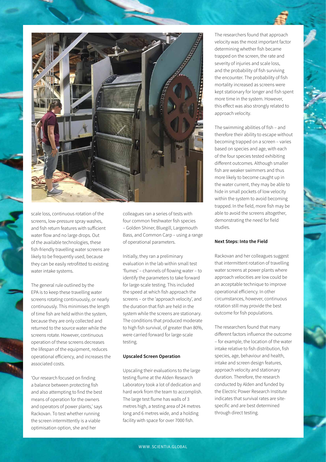

scale loss, continuous rotation of the screens, low-pressure spray washes, and fish return features with sufficient water flow and no large drops. Out of the available technologies, these fish-friendly travelling water screens are likely to be frequently used, because they can be easily retrofitted to existing water intake systems.

The general rule outlined by the EPA is to keep these travelling water screens rotating continuously, or nearly continuously. This minimises the length of time fish are held within the system, because they are only collected and returned to the source water while the screens rotate. However, continuous operation of these screens decreases the lifespan of the equipment, reduces operational efficiency, and increases the associated costs.

'Our research focused on finding a balance between protecting fish and also attempting to find the best means of operation for the owners and operators of power plants,' says Rackovan. To test whether running the screen intermittently is a viable optimisation option, she and her

colleagues ran a series of tests with four common freshwater fish species – Golden Shiner, Bluegill, Largemouth Bass, and Common Carp – using a range of operational parameters.

Initially, they ran a preliminary evaluation in the lab within small test 'flumes' – channels of flowing water – to identify the parameters to take forward for large-scale testing. This included the speed at which fish approach the screens – or the 'approach velocity', and the duration that fish are held in the system while the screens are stationary. The conditions that produced moderate to high fish survival, of greater than 80%, were carried forward for large-scale testing.

#### **Upscaled Screen Operation**

Upscaling their evaluations to the large testing flume at the Alden Research Laboratory took a lot of dedication and hard work from the team to accomplish. The large test flume has walls of 3 metres high, a testing area of 24 metres long and 6 metres wide, and a holding facility with space for over 7000 fish.

The researchers found that approach velocity was the most important factor determining whether fish became trapped on the screen, the rate and severity of injuries and scale loss, and the probability of fish surviving the encounter. The probability of fish mortality increased as screens were kept stationary for longer and fish spent more time in the system. However, this effect was also strongly related to approach velocity.

The swimming abilities of fish – and therefore their ability to escape without becoming trapped on a screen – varies based on species and age, with each of the four species tested exhibiting different outcomes. Although smaller fish are weaker swimmers and thus more likely to become caught up in the water current, they may be able to hide in small pockets of low velocity within the system to avoid becoming trapped. In the field, more fish may be able to avoid the screens altogether, demonstrating the need for field studies.

#### **Next Steps: Into the Field**

Rackovan and her colleagues suggest that intermittent rotation of travelling water screens at power plants where approach velocities are low could be an acceptable technique to improve operational efficiency. In other circumstances, however, continuous rotation still may provide the best outcome for fish populations.

The researchers found that many different factors influence the outcome – for example, the location of the water intake relative to fish distribution, fish species, age, behaviour and health, intake and screen design features, approach velocity and stationary duration. Therefore, the research conducted by Alden and funded by the Electric Power Research Institute indicates that survival rates are sitespecific and are best determined through direct testing.